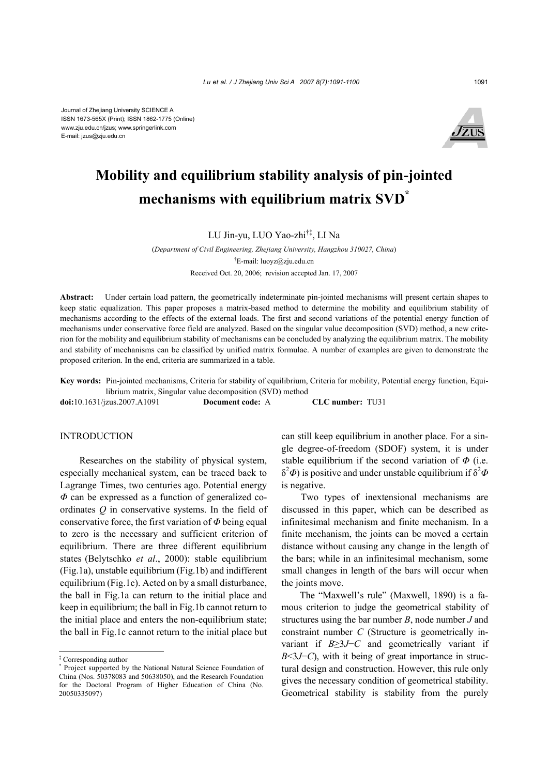Journal of Zhejiang University SCIENCE A ISSN 1673-565X (Print); ISSN 1862-1775 (Online) www.zju.edu.cn/jzus; www.springerlink.com E-mail: jzus@zju.edu.cn



# **Mobility and equilibrium stability analysis of pin-jointed mechanisms with equilibrium matrix SVD\***

LU Jin-yu, LUO Yao-zhi†‡, LI Na

(*Department of Civil Engineering, Zhejiang University, Hangzhou 310027, China*) † E-mail: luoyz@zju.edu.cn Received Oct. 20, 2006; revision accepted Jan. 17, 2007

**Abstract:** Under certain load pattern, the geometrically indeterminate pin-jointed mechanisms will present certain shapes to keep static equalization. This paper proposes a matrix-based method to determine the mobility and equilibrium stability of mechanisms according to the effects of the external loads. The first and second variations of the potential energy function of mechanisms under conservative force field are analyzed. Based on the singular value decomposition (SVD) method, a new criterion for the mobility and equilibrium stability of mechanisms can be concluded by analyzing the equilibrium matrix. The mobility and stability of mechanisms can be classified by unified matrix formulae. A number of examples are given to demonstrate the proposed criterion. In the end, criteria are summarized in a table.

**Key words:** Pin-jointed mechanisms, Criteria for stability of equilibrium, Criteria for mobility, Potential energy function, Equilibrium matrix, Singular value decomposition (SVD) method

**doi:**10.1631/jzus.2007.A1091 **Document code:** A **CLC number:** TU31

#### INTRODUCTION

Researches on the stability of physical system, especially mechanical system, can be traced back to Lagrange Times, two centuries ago. Potential energy *Φ* can be expressed as a function of generalized coordinates *Q* in conservative systems. In the field of conservative force, the first variation of *Φ* being equal to zero is the necessary and sufficient criterion of equilibrium. There are three different equilibrium states (Belytschko *et al*., 2000): stable equilibrium (Fig.1a), unstable equilibrium (Fig.1b) and indifferent equilibrium (Fig.1c). Acted on by a small disturbance, the ball in Fig.1a can return to the initial place and keep in equilibrium; the ball in Fig.1b cannot return to the initial place and enters the non-equilibrium state; the ball in Fig.1c cannot return to the initial place but can still keep equilibrium in another place. For a single degree-of-freedom (SDOF) system, it is under stable equilibrium if the second variation of *Φ* (i.e.  $\delta^2$ Φ) is positive and under unstable equilibrium if  $\delta^2$ *Φ* is negative.

Two types of inextensional mechanisms are discussed in this paper, which can be described as infinitesimal mechanism and finite mechanism. In a finite mechanism, the joints can be moved a certain distance without causing any change in the length of the bars; while in an infinitesimal mechanism, some small changes in length of the bars will occur when the joints move.

The "Maxwell's rule" (Maxwell, 1890) is a famous criterion to judge the geometrical stability of structures using the bar number *B*, node number *J* and constraint number *C* (Structure is geometrically invariant if *B*≥3*J*−*C* and geometrically variant if *B*<3*J*−*C*), with it being of great importance in structural design and construction. However, this rule only gives the necessary condition of geometrical stability. Geometrical stability is stability from the purely

<sup>‡</sup> Corresponding author

<sup>\*</sup> Project supported by the National Natural Science Foundation of China (Nos. 50378083 and 50638050), and the Research Foundation for the Doctoral Program of Higher Education of China (No. 20050335097)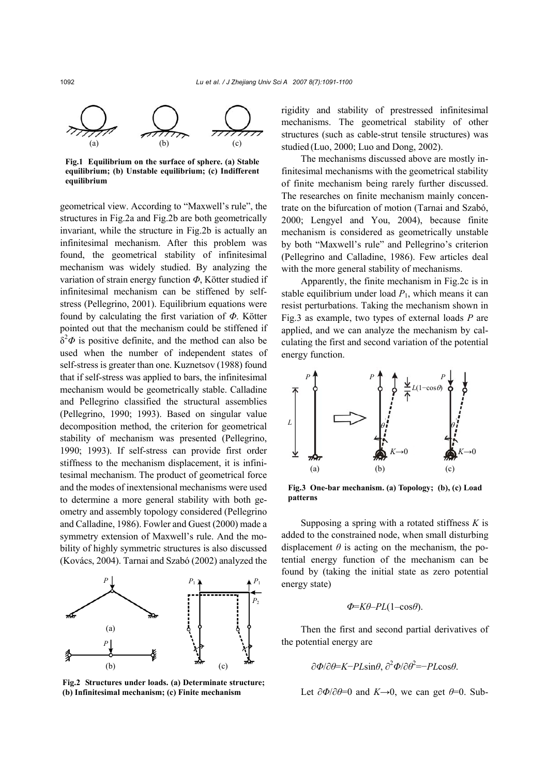

**Fig.1 Equilibrium on the surface of sphere. (a) Stable equilibrium; (b) Unstable equilibrium; (c) Indifferent equilibrium** 

geometrical view. According to "Maxwell's rule", the structures in Fig.2a and Fig.2b are both geometrically invariant, while the structure in Fig.2b is actually an infinitesimal mechanism. After this problem was found, the geometrical stability of infinitesimal mechanism was widely studied. By analyzing the variation of strain energy function *Φ*, Kötter studied if infinitesimal mechanism can be stiffened by selfstress (Pellegrino, 2001). Equilibrium equations were found by calculating the first variation of *Φ*. Kötter pointed out that the mechanism could be stiffened if  $\delta^2 \Phi$  is positive definite, and the method can also be used when the number of independent states of self-stress is greater than one. Kuznetsov (1988) found that if self-stress was applied to bars, the infinitesimal mechanism would be geometrically stable. Calladine and Pellegrino classified the structural assemblies (Pellegrino, 1990; 1993). Based on singular value decomposition method, the criterion for geometrical stability of mechanism was presented (Pellegrino, 1990; 1993). If self-stress can provide first order stiffness to the mechanism displacement, it is infinitesimal mechanism. The product of geometrical force and the modes of inextensional mechanisms were used to determine a more general stability with both geometry and assembly topology considered (Pellegrino and Calladine, 1986). Fowler and Guest (2000) made a symmetry extension of Maxwell's rule. And the mobility of highly symmetric structures is also discussed (Kovács, 2004). Tarnai and Szabó (2002) analyzed the



**Fig.2 Structures under loads. (a) Determinate structure; (b) Infinitesimal mechanism; (c) Finite mechanism**

rigidity and stability of prestressed infinitesimal mechanisms. The geometrical stability of other structures (such as cable-strut tensile structures) was studied (Luo, 2000; Luo and Dong, 2002).

The mechanisms discussed above are mostly infinitesimal mechanisms with the geometrical stability of finite mechanism being rarely further discussed. The researches on finite mechanism mainly concentrate on the bifurcation of motion (Tarnai and Szabó, 2000; Lengyel and You, 2004), because finite mechanism is considered as geometrically unstable by both "Maxwell's rule" and Pellegrino's criterion (Pellegrino and Calladine, 1986). Few articles deal with the more general stability of mechanisms.

Apparently, the finite mechanism in Fig.2c is in stable equilibrium under load  $P_1$ , which means it can resist perturbations. Taking the mechanism shown in Fig.3 as example, two types of external loads *P* are applied, and we can analyze the mechanism by calculating the first and second variation of the potential energy function.



**Fig.3 One-bar mechanism. (a) Topology; (b), (c) Load patterns**

Supposing a spring with a rotated stiffness *K* is added to the constrained node, when small disturbing displacement  $\theta$  is acting on the mechanism, the potential energy function of the mechanism can be found by (taking the initial state as zero potential energy state)

$$
\Phi = K\theta - PL(1 - \cos\theta).
$$

Then the first and second partial derivatives of the potential energy are

$$
\frac{\partial \Phi}{\partial \theta} = K - P L \sin \theta, \frac{\partial^2 \Phi}{\partial \theta^2} = -P L \cos \theta.
$$

Let  $\partial \Phi / \partial \theta = 0$  and  $K \rightarrow 0$ , we can get  $\theta = 0$ . Sub-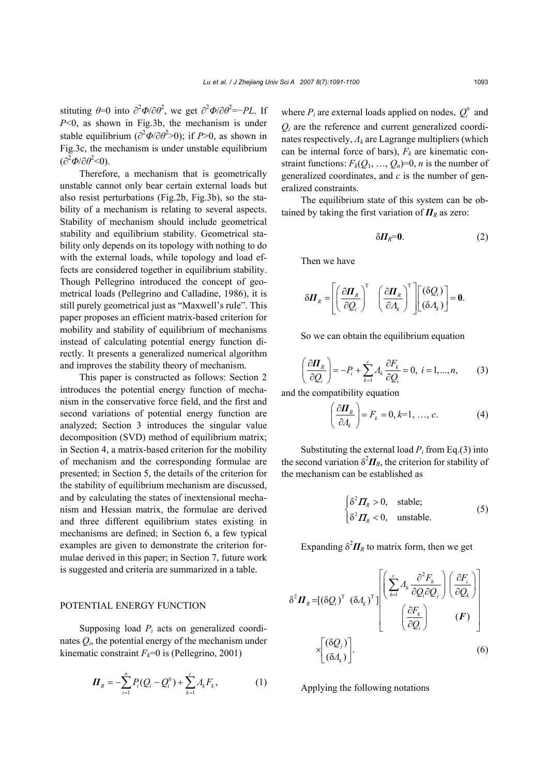stituting  $\theta = 0$  into  $\partial^2 \Phi / \partial \theta^2$ , we get  $\partial^2 \Phi / \partial \theta^2 = -PL$ . If *P*<0, as shown in Fig.3b, the mechanism is under stable equilibrium  $\left(\frac{\partial^2 \Phi}{\partial \theta^2} > 0\right)$ ; if *P*>0, as shown in Fig.3c, the mechanism is under unstable equilibrium  $\left(\frac{\partial^2 \Phi}{\partial \theta^2} < 0\right)$ .

Therefore, a mechanism that is geometrically unstable cannot only bear certain external loads but also resist perturbations (Fig.2b, Fig.3b), so the stability of a mechanism is relating to several aspects. Stability of mechanism should include geometrical stability and equilibrium stability. Geometrical stability only depends on its topology with nothing to do with the external loads, while topology and load effects are considered together in equilibrium stability. Though Pellegrino introduced the concept of geometrical loads (Pellegrino and Calladine, 1986), it is still purely geometrical just as "Maxwell's rule". This paper proposes an efficient matrix-based criterion for mobility and stability of equilibrium of mechanisms instead of calculating potential energy function directly. It presents a generalized numerical algorithm and improves the stability theory of mechanism.

This paper is constructed as follows: Section 2 introduces the potential energy function of mechanism in the conservative force field, and the first and second variations of potential energy function are analyzed; Section 3 introduces the singular value decomposition (SVD) method of equilibrium matrix; in Section 4, a matrix-based criterion for the mobility of mechanism and the corresponding formulae are presented; in Section 5, the details of the criterion for the stability of equilibrium mechanism are discussed, and by calculating the states of inextensional mechanism and Hessian matrix, the formulae are derived and three different equilibrium states existing in mechanisms are defined; in Section 6, a few typical examples are given to demonstrate the criterion formulae derived in this paper; in Section 7, future work is suggested and criteria are summarized in a table.

#### POTENTIAL ENERGY FUNCTION

Supposing load  $P_i$  acts on generalized coordinates  $Q_i$ , the potential energy of the mechanism under kinematic constraint  $F_k=0$  is (Pellegrino, 2001)

$$
\boldsymbol{\Pi}_R = -\sum_{i=1}^n P_i (Q_i - Q_i^0) + \sum_{k=1}^c A_k F_k, \qquad (1)
$$

where  $P_i$  are external loads applied on nodes,  $Q_i^0$  and *Qi* are the reference and current generalized coordinates respectively, *Λk* are Lagrange multipliers (which can be internal force of bars),  $F_k$  are kinematic constraint functions:  $F_k(Q_1, ..., Q_n)=0$ , *n* is the number of generalized coordinates, and *c* is the number of generalized constraints.

The equilibrium state of this system can be obtained by taking the first variation of  $\Pi_R$  as zero:

$$
\delta H_R = 0. \tag{2}
$$

Then we have

$$
\delta \boldsymbol{\Pi}_R = \left[ \left( \frac{\partial \boldsymbol{\Pi}_R}{\partial Q_i} \right)^{\mathrm{T}} \quad \left( \frac{\partial \boldsymbol{\Pi}_R}{\partial A_k} \right)^{\mathrm{T}} \right] \left[ \left( \delta Q_i \right)^{\mathrm{T}} \right] = \mathbf{0}.
$$

So we can obtain the equilibrium equation

$$
\left(\frac{\partial \boldsymbol{\Pi}_R}{\partial Q_i}\right) = -P_i + \sum_{k=1}^c A_k \frac{\partial F_k}{\partial Q_i} = 0, \ i = 1, ..., n,
$$
 (3)

and the compatibility equation

$$
\left(\frac{\partial \boldsymbol{\varPi}_R}{\partial \boldsymbol{\varLambda}_k}\right) = F_k = 0, k=1, ..., c.
$$
 (4)

Substituting the external load  $P_i$  from Eq.(3) into the second variation  $\delta^2 \mathbf{\Pi}_R$ , the criterion for stability of the mechanism can be established as

$$
\begin{cases}\n\delta^2 \mathbf{\Pi}_R > 0, \quad \text{stable;} \\
\delta^2 \mathbf{\Pi}_R < 0, \quad \text{unstable.}\n\end{cases} \tag{5}
$$

Expanding  $\delta^2 \mathbf{\Pi}_R$  to matrix form, then we get

$$
\delta^2 \boldsymbol{\Pi}_R = [(\delta Q_i)^T (\delta A_k)^T] \begin{bmatrix} \left( \sum_{h=1}^c A_h \frac{\partial^2 F_h}{\partial Q_i \partial Q_j} \right) \left( \frac{\partial F_i}{\partial Q_k} \right) \\ \left( \frac{\partial F_k}{\partial Q_i} \right) & (\boldsymbol{F}) \end{bmatrix}
$$

$$
\times \begin{bmatrix} (\delta Q_j) \\ (\delta A_k) \end{bmatrix} .
$$

Applying the following notations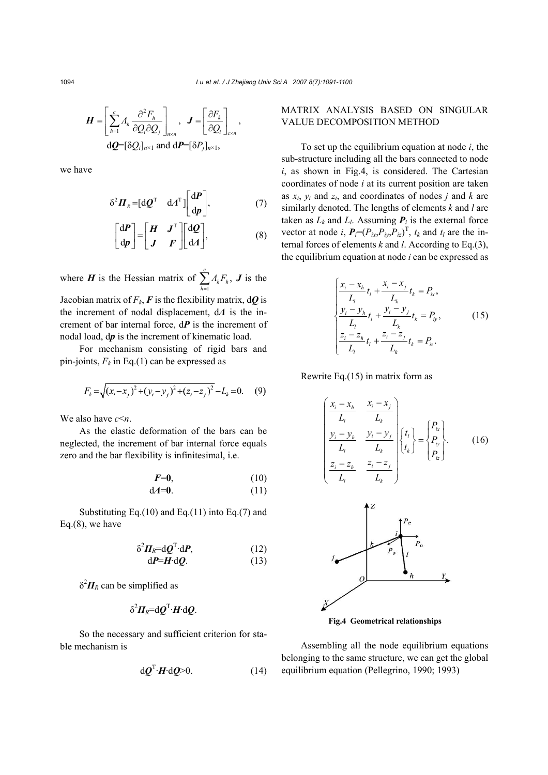$$
\boldsymbol{H} = \left[ \sum_{h=1}^{c} A_h \frac{\partial^2 F_h}{\partial Q_i \partial Q_j} \right]_{n \times n}, \quad \boldsymbol{J} = \left[ \frac{\partial F_k}{\partial Q_i} \right]_{c \times n},
$$

$$
\mathrm{d}\boldsymbol{Q} = [\delta Q_i]_{n \times 1} \text{ and } \mathrm{d}\boldsymbol{P} = [\delta P_j]_{n \times 1},
$$

we have

$$
\delta^2 \boldsymbol{\varPi}_R = [\mathrm{d}\boldsymbol{\varrho}^{\mathrm{T}} \quad \mathrm{d}\boldsymbol{\varLambda}^{\mathrm{T}}] \begin{bmatrix} \mathrm{d}\boldsymbol{P} \\ \mathrm{d}\boldsymbol{p} \end{bmatrix}, \tag{7}
$$

$$
\begin{bmatrix} dP \\ dp \end{bmatrix} = \begin{bmatrix} H & J^T \\ J & F \end{bmatrix} \begin{bmatrix} dQ \\ dA \end{bmatrix}, \tag{8}
$$

where *H* is the Hessian matrix of  $\sum_{h=1}^{c} A_h F_h$ ,  $\sum_{h=1}^{I} A_h I^h$ *Λ F*  $\sum_{h=1} A_h F_h$ , **J** is the Jacobian matrix of  $F_k$ ,  $\vec{F}$  is the flexibility matrix,  $d\vec{Q}$  is the increment of nodal displacement, d*Λ* is the increment of bar internal force, d*P* is the increment of nodal load, d*p* is the increment of kinematic load.

For mechanism consisting of rigid bars and pin-joints,  $F_k$  in Eq.(1) can be expressed as

$$
F_k = \sqrt{(x_i - x_j)^2 + (y_i - y_j)^2 + (z_i - z_j)^2} - L_k = 0.
$$
 (9)

We also have *c*<*n*.

As the elastic deformation of the bars can be neglected, the increment of bar internal force equals zero and the bar flexibility is infinitesimal, i.e.

$$
F=0,
$$
\n
$$
dA=0.
$$
\n(10)\n(11)

Substituting Eq.(10) and Eq.(11) into Eq.(7) and Eq.(8), we have

$$
\delta^2 \mathbf{\Pi}_R = \mathrm{d}\mathbf{Q}^{\mathrm{T}} \cdot \mathrm{d}\mathbf{P},\tag{12}
$$
\n
$$
\mathrm{d}\mathbf{P} = \mathbf{H} \cdot \mathrm{d}\mathbf{Q}.\tag{13}
$$

 $δ<sup>2</sup>$ *ΠR* can be simplified as

$$
\delta^2 \mathbf{\Pi}_R = \mathrm{d}\mathbf{\mathbf{Q}}^{\mathrm{T}} \cdot \mathbf{H} \cdot \mathrm{d}\mathbf{\mathbf{Q}}.
$$

So the necessary and sufficient criterion for stable mechanism is

$$
d\mathbf{Q}^{\mathrm{T}}\!\cdot\!\mathbf{H}\!\cdot\!\mathrm{d}\mathbf{Q}\!\!>\!\!0.\tag{14}
$$

# MATRIX ANALYSIS BASED ON SINGULAR VALUE DECOMPOSITION METHOD

To set up the equilibrium equation at node *i*, the sub-structure including all the bars connected to node *i*, as shown in Fig.4, is considered. The Cartesian coordinates of node *i* at its current position are taken as  $x_i$ ,  $y_i$  and  $z_i$ , and coordinates of nodes *j* and *k* are similarly denoted. The lengths of elements *k* and *l* are taken as  $L_k$  and  $L_l$ . Assuming  $P_i$  is the external force vector at node *i*,  $P_i=(P_{ix},P_{iy},P_{iz})^\text{T}$ ,  $t_k$  and  $t_l$  are the internal forces of elements *k* and *l*. According to Eq.(3), the equilibrium equation at node *i* can be expressed as

$$
\begin{cases}\n\frac{x_i - x_h}{L_l}t_l + \frac{x_i - x_j}{L_k}t_k = P_{ix}, \\
\frac{y_i - y_h}{L_l}t_l + \frac{y_i - y_j}{L_k}t_k = P_{iy}, \\
\frac{z_i - z_h}{L_l}t_l + \frac{z_i - z_j}{L_k}t_k = P_{iz}.\n\end{cases}
$$
\n(15)

Rewrite Eq.(15) in matrix form as

$$
\begin{pmatrix}\n\frac{x_i - x_h}{L_l} & \frac{x_i - x_j}{L_k} \\
\frac{y_i - y_h}{L_l} & \frac{y_i - y_j}{L_k} \\
\frac{z_i - z_h}{L_l} & \frac{z_i - z_j}{L_k}\n\end{pmatrix}\n\begin{pmatrix}\nt_l \\
t_k\n\end{pmatrix} =\n\begin{pmatrix}\nP_{ix} \\
P_{iy} \\
P_{iz}\n\end{pmatrix}.\n\tag{16}
$$



**Fig.4 Geometrical relationships**

Assembling all the node equilibrium equations belonging to the same structure, we can get the global equilibrium equation (Pellegrino, 1990; 1993)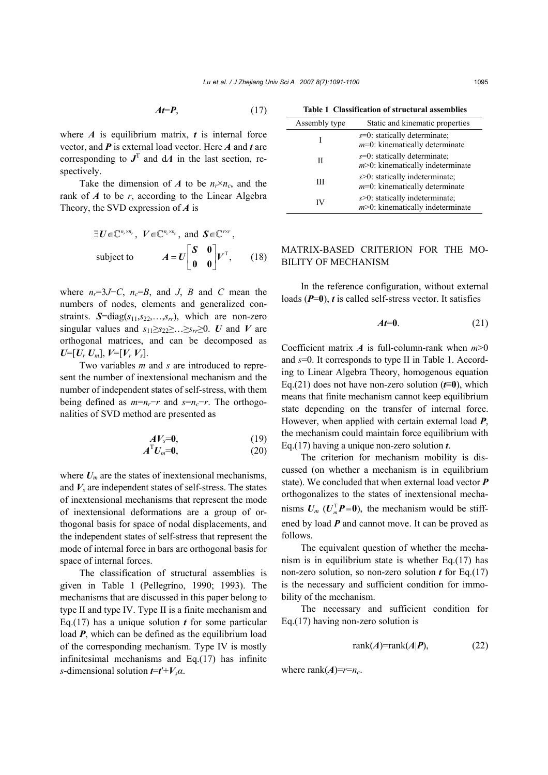$$
At = P, \tag{17}
$$

where  $A$  is equilibrium matrix,  $t$  is internal force vector, and *P* is external load vector. Here *A* and *t* are corresponding to  $J<sup>T</sup>$  and d $\Lambda$  in the last section, respectively.

Take the dimension of *A* to be  $n_r \times n_c$ , and the rank of *A* to be *r*, according to the Linear Algebra Theory, the SVD expression of *A* is

$$
\exists U \in \mathbb{C}^{n_r \times n_r}, \quad V \in \mathbb{C}^{n_c \times n_c}, \quad \text{and} \quad S \in \mathbb{C}^{r \times r},
$$
\n
$$
\text{subject to} \qquad A = U \begin{bmatrix} S & 0 \\ 0 & 0 \end{bmatrix} V^{\mathrm{T}}, \qquad (18)
$$

where  $n_r=3J-C$ ,  $n_c=B$ , and *J*, *B* and *C* mean the numbers of nodes, elements and generalized constraints. *S*=diag(*s*11,*s*22,…,*srr*), which are non-zero singular values and  $s_{11} \geq s_{22} \geq \ldots \geq s_{rr} \geq 0$ . *U* and *V* are orthogonal matrices, and can be decomposed as  $U=[U_r U_m], V=[V_r V_s].$ 

Two variables *m* and *s* are introduced to represent the number of inextensional mechanism and the number of independent states of self-stress, with them being defined as  $m=n_r-r$  and  $s=n_c-r$ . The orthogonalities of SVD method are presented as

$$
AV_s = 0, \t(19)
$$

$$
A^{\mathrm{T}}U_m=0,\t\t(20)
$$

where  $U_m$  are the states of inextensional mechanisms, and  $V_s$  are independent states of self-stress. The states of inextensional mechanisms that represent the mode of inextensional deformations are a group of orthogonal basis for space of nodal displacements, and the independent states of self-stress that represent the mode of internal force in bars are orthogonal basis for space of internal forces.

The classification of structural assemblies is given in Table 1 (Pellegrino, 1990; 1993). The mechanisms that are discussed in this paper belong to type II and type IV. Type II is a finite mechanism and Eq.(17) has a unique solution *t* for some particular load *P*, which can be defined as the equilibrium load of the corresponding mechanism. Type IV is mostly infinitesimal mechanisms and Eq.(17) has infinite *s*-dimensional solution *t*=*t*′+*Vsα*.

**Table 1 Classification of structural assemblies** 

| Assembly type | Static and kinematic properties                                            |
|---------------|----------------------------------------------------------------------------|
|               | $s=0$ : statically determinate;<br>$m=0$ : kinematically determinate       |
| Н             | $s=0$ : statically determinate;<br>$m$ >0: kinematically indeterminate     |
| Ш             | $s > 0$ : statically indeterminate;<br>$m=0$ : kinematically determinate   |
| IV            | $s > 0$ : statically indeterminate;<br>$m$ >0: kinematically indeterminate |

# MATRIX-BASED CRITERION FOR THE MO-BILITY OF MECHANISM

In the reference configuration, without external loads (*P*=**0**), *t* is called self-stress vector. It satisfies

$$
At=0.\t(21)
$$

Coefficient matrix  $\vec{A}$  is full-column-rank when  $m \geq 0$ and *s*=0. It corresponds to type II in Table 1. According to Linear Algebra Theory, homogenous equation Eq.(21) does not have non-zero solution (*t*≡**0**), which means that finite mechanism cannot keep equilibrium state depending on the transfer of internal force. However, when applied with certain external load *P*, the mechanism could maintain force equilibrium with Eq.(17) having a unique non-zero solution *t*.

The criterion for mechanism mobility is discussed (on whether a mechanism is in equilibrium state). We concluded that when external load vector *P* orthogonalizes to the states of inextensional mechanisms  $U_m$  ( $U_m^T P = 0$ ), the mechanism would be stiffened by load *P* and cannot move. It can be proved as follows.

The equivalent question of whether the mechanism is in equilibrium state is whether Eq.(17) has non-zero solution, so non-zero solution *t* for Eq.(17) is the necessary and sufficient condition for immobility of the mechanism.

The necessary and sufficient condition for Eq.(17) having non-zero solution is

$$
rank(A)=rank(A|P), \qquad (22)
$$

where rank $(A) = r = n_c$ .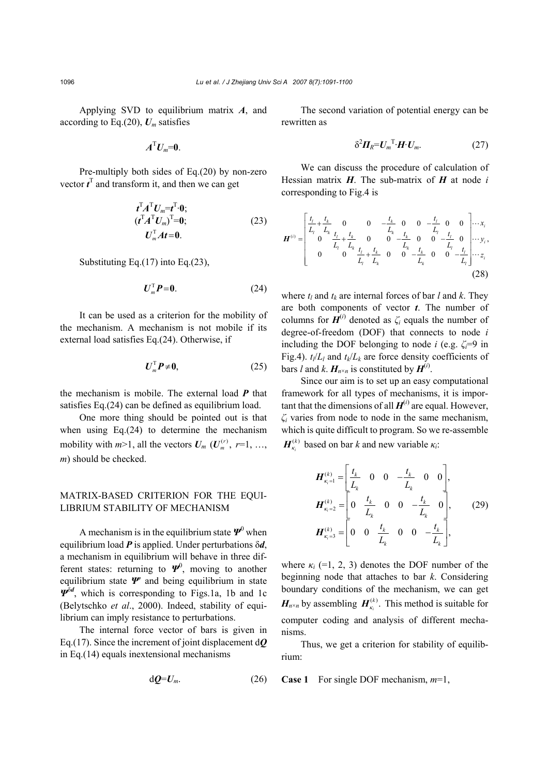Applying SVD to equilibrium matrix *A*, and according to Eq.(20),  $U_m$  satisfies

$$
A^{\mathrm{T}}U_m=0.
$$

Pre-multiply both sides of Eq.(20) by non-zero vector  $t<sup>T</sup>$  and transform it, and then we can get

$$
t^{T} A^{T} U_{m} = t^{T} \cdot 0;
$$
  
\n
$$
(t^{T} A^{T} U_{m})^{T} = 0;
$$
  
\n
$$
U_{m}^{T} At = 0.
$$
\n(23)

Substituting Eq.(17) into Eq.(23),

$$
\boldsymbol{U}_m^{\mathrm{T}} \boldsymbol{P} = \boldsymbol{0}. \tag{24}
$$

It can be used as a criterion for the mobility of the mechanism. A mechanism is not mobile if its external load satisfies Eq.(24). Otherwise, if

$$
\boldsymbol{U}_m^{\mathrm{T}} \boldsymbol{P} \neq \boldsymbol{0}, \tag{25}
$$

the mechanism is mobile. The external load *P* that satisfies Eq.(24) can be defined as equilibrium load.

One more thing should be pointed out is that when using Eq.(24) to determine the mechanism mobility with  $m>1$ , all the vectors  $U_m$  ( $U_m^{(r)}$ ,  $r=1, \ldots,$ *m*) should be checked.

### MATRIX-BASED CRITERION FOR THE EQUI-LIBRIUM STABILITY OF MECHANISM

A mechanism is in the equilibrium state *Ψ*<sup>0</sup> when equilibrium load *P* is applied. Under perturbations δ*d*, a mechanism in equilibrium will behave in three different states: returning to  $\Psi^0$ , moving to another equilibrium state *Ψ*′ and being equilibrium in state *Ψ*<sup>δ</sup>*<sup>d</sup>* , which is corresponding to Figs.1a, 1b and 1c (Belytschko *et al*., 2000). Indeed, stability of equilibrium can imply resistance to perturbations.

The internal force vector of bars is given in Eq.(17). Since the increment of joint displacement d*Q* in Eq.(14) equals inextensional mechanisms

$$
\mathrm{d}\boldsymbol{Q} = \boldsymbol{U}_m. \tag{26}
$$

The second variation of potential energy can be rewritten as

$$
\delta^2 \boldsymbol{\Pi}_R = \boldsymbol{U}_m^{\mathrm{T}} \cdot \boldsymbol{H} \cdot \boldsymbol{U}_m. \tag{27}
$$

We can discuss the procedure of calculation of Hessian matrix *H*. The sub-matrix of *H* at node *i* corresponding to Fig.4 is

$$
\boldsymbol{H}^{(i)} = \begin{bmatrix} \frac{t_i}{L_i} + \frac{t_k}{L_k} & 0 & 0 & -\frac{t_k}{L_k} & 0 & 0 & -\frac{t_l}{L_l} & 0 & 0 \\ 0 & \frac{t_i}{L_i} + \frac{t_k}{L_k} & 0 & 0 & -\frac{t_k}{L_k} & 0 & 0 & -\frac{t_l}{L_l} & 0 \\ 0 & 0 & \frac{t_i}{L_i} + \frac{t_k}{L_k} & 0 & 0 & -\frac{t_k}{L_k} & 0 & 0 & -\frac{t_l}{L_l} \end{bmatrix} \cdots z_i
$$
\n(28)

where  $t_l$  and  $t_k$  are internal forces of bar *l* and *k*. They are both components of vector *t*. The number of columns for  $H^{(i)}$  denoted as  $\zeta_i$  equals the number of degree-of-freedom (DOF) that connects to node *i* including the DOF belonging to node *i* (e.g.  $\zeta_i=9$  in Fig.4).  $t_l/L_l$  and  $t_k/L_k$  are force density coefficients of bars *l* and *k*.  $H_{n \times n}$  is constituted by  $H^{(i)}$ .

Since our aim is to set up an easy computational framework for all types of mechanisms, it is important that the dimensions of all  $H^{(i)}$  are equal. However, *ζi* varies from node to node in the same mechanism, which is quite difficult to program. So we re-assemble  $(k)$  $H_{\kappa_i}^{(k)}$  based on bar *k* and new variable  $\kappa_i$ :

$$
H_{\kappa_i=1}^{(k)} = \begin{bmatrix} t_k & 0 & 0 & -\frac{t_k}{L_k} & 0 & 0 \end{bmatrix},
$$
  
\n
$$
H_{\kappa_i=2}^{(k)} = \begin{bmatrix} 0 & \frac{t_k}{L_k} & 0 & 0 & -\frac{t_k}{L_k} & 0 \end{bmatrix},
$$
  
\n
$$
H_{\kappa_i=3}^{(k)} = \begin{bmatrix} 0 & 0 & \frac{t_k}{L_k} & 0 & 0 & -\frac{t_k}{L_k} \end{bmatrix},
$$
  
\n(29)

where  $\kappa_i$  (=1, 2, 3) denotes the DOF number of the beginning node that attaches to bar *k*. Considering boundary conditions of the mechanism, we can get  $H_{n \times n}$  by assembling  $H_{\kappa_i}^{(k)}$ . This method is suitable for computer coding and analysis of different mechanisms.

Thus, we get a criterion for stability of equilibrium:

**Case 1** For single DOF mechanism, *m*=1,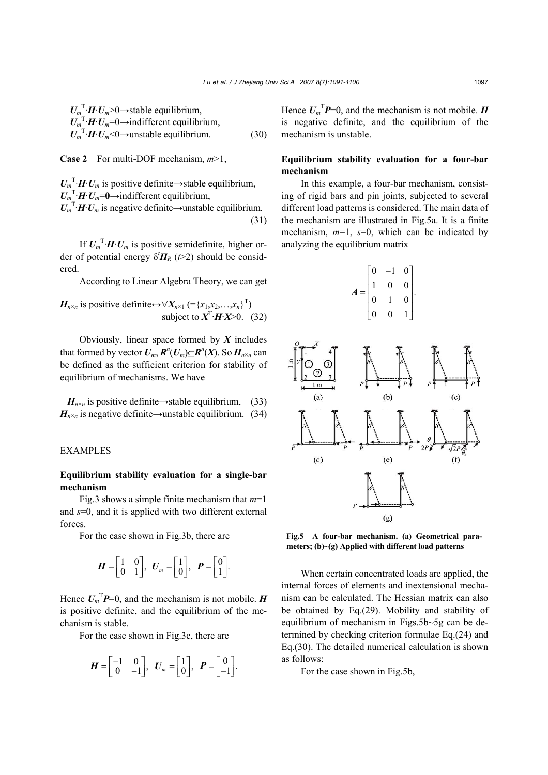$U_m$ <sup>T</sup>·*H*·*U<sub>m</sub>*>0→stable equilibrium,  $U_m^T \cdot H \cdot U_m = 0 \rightarrow$ indifferent equilibrium,  $U_m^T \cdot H \cdot U_m \leq 0 \rightarrow \text{unstable equilibrium.}$  (30)

**Case 2** For multi-DOF mechanism, *m*>1,

 $U_m^T \cdot H \cdot U_m$  is positive definite→stable equilibrium,  $U_m^T \cdot H \cdot U_m = 0 \rightarrow \text{indifferent equilibrium},$  $U_m^T \cdot H \cdot U_m$  is negative definite→unstable equilibrium.

(31)

If  $U_m^T \cdot H \cdot U_m$  is positive semidefinite, higher order of potential energy  $\delta'$  $\Pi_R$  ( $t > 2$ ) should be considered.

According to Linear Algebra Theory, we can get

$$
H_{n \times n}
$$
 is positive definite $\leftrightarrow \forall X_{n \times 1} (= \{x_1, x_2, ..., x_n\}^T)$   
subject to  $X^T \cdot H \cdot X > 0$ . (32)

Obviously, linear space formed by *X* includes that formed by vector  $U_m$ ,  $\mathbf{R}^n(U_m) \subseteq \mathbf{R}^n(X)$ . So  $H_{n \times n}$  can be defined as the sufficient criterion for stability of equilibrium of mechanisms. We have

 $H_{n\times n}$  is positive definite→stable equilibrium, (33)  $H_{n \times n}$  is negative definite→unstable equilibrium. (34)

## EXAMPLES

#### **Equilibrium stability evaluation for a single-bar mechanism**

Fig.3 shows a simple finite mechanism that *m*=1 and *s*=0, and it is applied with two different external forces.

For the case shown in Fig.3b, there are

$$
\boldsymbol{H} = \begin{bmatrix} 1 & 0 \\ 0 & 1 \end{bmatrix}, \ \ \boldsymbol{U}_m = \begin{bmatrix} 1 \\ 0 \end{bmatrix}, \ \ \boldsymbol{P} = \begin{bmatrix} 0 \\ 1 \end{bmatrix}.
$$

Hence  $U_m$ <sup>T</sup> $P=0$ , and the mechanism is not mobile. *H* is positive definite, and the equilibrium of the mechanism is stable.

For the case shown in Fig.3c, there are

$$
\boldsymbol{H} = \begin{bmatrix} -1 & 0 \\ 0 & -1 \end{bmatrix}, \quad \boldsymbol{U}_m = \begin{bmatrix} 1 \\ 0 \end{bmatrix}, \quad \boldsymbol{P} = \begin{bmatrix} 0 \\ -1 \end{bmatrix}.
$$

Hence  $U_m^T P=0$ , and the mechanism is not mobile. *H* is negative definite, and the equilibrium of the mechanism is unstable.

# **Equilibrium stability evaluation for a four-bar mechanism**

In this example, a four-bar mechanism, consisting of rigid bars and pin joints, subjected to several different load patterns is considered. The main data of the mechanism are illustrated in Fig.5a. It is a finite mechanism, *m*=1, *s*=0, which can be indicated by analyzing the equilibrium matrix

$$
A = \begin{bmatrix} 0 & -1 & 0 \\ 1 & 0 & 0 \\ 0 & 1 & 0 \\ 0 & 0 & 1 \end{bmatrix}.
$$



**Fig.5 A four-bar mechanism. (a) Geometrical parameters; (b)~(g) Applied with different load patterns**

When certain concentrated loads are applied, the internal forces of elements and inextensional mechanism can be calculated. The Hessian matrix can also be obtained by Eq.(29). Mobility and stability of equilibrium of mechanism in Figs.5b~5g can be determined by checking criterion formulae Eq.(24) and Eq.(30). The detailed numerical calculation is shown as follows:

For the case shown in Fig.5b,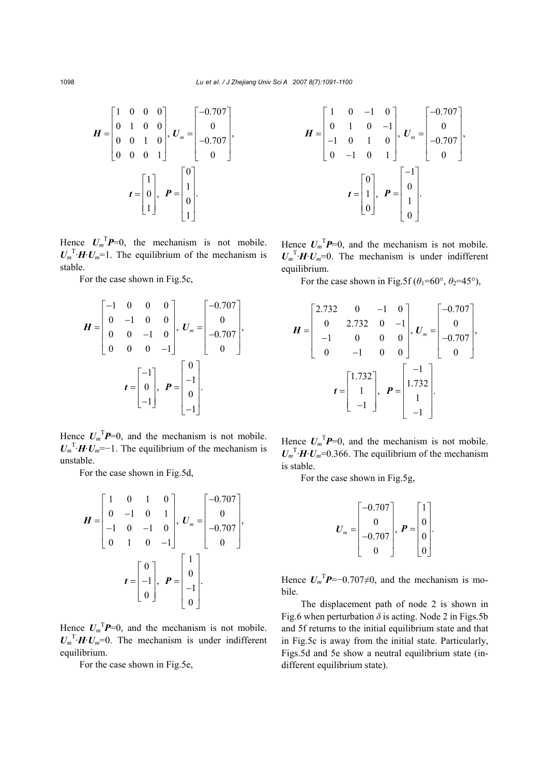$$
\boldsymbol{H} = \begin{bmatrix} 1 & 0 & 0 & 0 \\ 0 & 1 & 0 & 0 \\ 0 & 0 & 1 & 0 \\ 0 & 0 & 0 & 1 \end{bmatrix}, \ \boldsymbol{U}_m = \begin{bmatrix} -0.707 \\ 0 \\ -0.707 \\ 0 \end{bmatrix}, \\ \boldsymbol{t} = \begin{bmatrix} 1 \\ 0 \\ 1 \end{bmatrix}, \ \boldsymbol{P} = \begin{bmatrix} 0 \\ 1 \\ 0 \\ 1 \end{bmatrix}.
$$

Hence  $U_m^T P=0$ , the mechanism is not mobile.  $U_m^T \cdot H \cdot U_m = 1$ . The equilibrium of the mechanism is stable.

For the case shown in Fig.5c,

$$
\boldsymbol{H} = \begin{bmatrix} -1 & 0 & 0 & 0 \\ 0 & -1 & 0 & 0 \\ 0 & 0 & -1 & 0 \\ 0 & 0 & 0 & -1 \end{bmatrix}, \quad \boldsymbol{U}_{m} = \begin{bmatrix} -0.707 \\ 0 \\ -0.707 \\ 0 \end{bmatrix},
$$

$$
\boldsymbol{t} = \begin{bmatrix} -1 \\ 0 \\ -1 \end{bmatrix}, \quad \boldsymbol{P} = \begin{bmatrix} 0 \\ -1 \\ 0 \\ -1 \end{bmatrix}.
$$

Hence  $U_m^T P=0$ , and the mechanism is not mobile.  $U_m^T$ <sup>T</sup>·*H*·*U<sub>m</sub>*=−1. The equilibrium of the mechanism is unstable.

For the case shown in Fig.5d,

$$
\boldsymbol{H} = \begin{bmatrix} 1 & 0 & 1 & 0 \\ 0 & -1 & 0 & 1 \\ -1 & 0 & -1 & 0 \\ 0 & 1 & 0 & -1 \end{bmatrix}, \quad \boldsymbol{U}_{m} = \begin{bmatrix} -0.707 \\ 0 \\ -0.707 \\ 0 \end{bmatrix},
$$

$$
\boldsymbol{t} = \begin{bmatrix} 0 \\ -1 \\ 0 \end{bmatrix}, \quad \boldsymbol{P} = \begin{bmatrix} 1 \\ 0 \\ -1 \\ 0 \end{bmatrix}.
$$

Hence  $U_m^T P=0$ , and the mechanism is not mobile.  $U_m^T \cdot H \cdot U_m = 0$ . The mechanism is under indifferent equilibrium.

For the case shown in Fig.5e,

$$
\boldsymbol{H} = \begin{bmatrix} 1 & 0 & -1 & 0 \\ 0 & 1 & 0 & -1 \\ -1 & 0 & 1 & 0 \\ 0 & -1 & 0 & 1 \end{bmatrix}, \ \boldsymbol{U}_{m} = \begin{bmatrix} -0.707 \\ 0 \\ -0.707 \\ 0 \end{bmatrix},
$$

$$
\boldsymbol{t} = \begin{bmatrix} 0 \\ 1 \\ 0 \end{bmatrix}, \ \boldsymbol{P} = \begin{bmatrix} -1 \\ 0 \\ 1 \\ 0 \end{bmatrix}.
$$

Hence  $U_m$ <sup>T</sup> $P=0$ , and the mechanism is not mobile.  $U_m^T \cdot H \cdot U_m = 0$ . The mechanism is under indifferent equilibrium.

For the case shown in Fig.5f ( $\theta_1$ =60°,  $\theta_2$ =45°),

$$
\mathbf{H} = \begin{bmatrix} 2.732 & 0 & -1 & 0 \\ 0 & 2.732 & 0 & -1 \\ -1 & 0 & 0 & 0 \\ 0 & -1 & 0 & 0 \end{bmatrix}, \mathbf{U}_m = \begin{bmatrix} -0.707 \\ 0 \\ -0.707 \\ 0 \end{bmatrix},
$$

$$
\mathbf{t} = \begin{bmatrix} 1.732 \\ 1 \\ -1 \end{bmatrix}, \quad \mathbf{P} = \begin{bmatrix} -1 \\ 1.732 \\ 1 \\ -1 \end{bmatrix}.
$$

Hence  $U_m^T P=0$ , and the mechanism is not mobile.  $U_m^T \cdot H \cdot U_m = 0.366$ . The equilibrium of the mechanism is stable.

For the case shown in Fig.5g,

$$
U_{m} = \begin{bmatrix} -0.707 \\ 0 \\ -0.707 \\ 0 \end{bmatrix}, \ \boldsymbol{P} = \begin{bmatrix} 1 \\ 0 \\ 0 \\ 0 \end{bmatrix}.
$$

Hence  $U_m$ <sup>T</sup> $P$ =-0.707 $\neq$ 0, and the mechanism is mobile.

The displacement path of node 2 is shown in Fig.6 when perturbation  $\delta$  is acting. Node 2 in Figs.5b and 5f returns to the initial equilibrium state and that in Fig.5c is away from the initial state. Particularly, Figs.5d and 5e show a neutral equilibrium state (indifferent equilibrium state).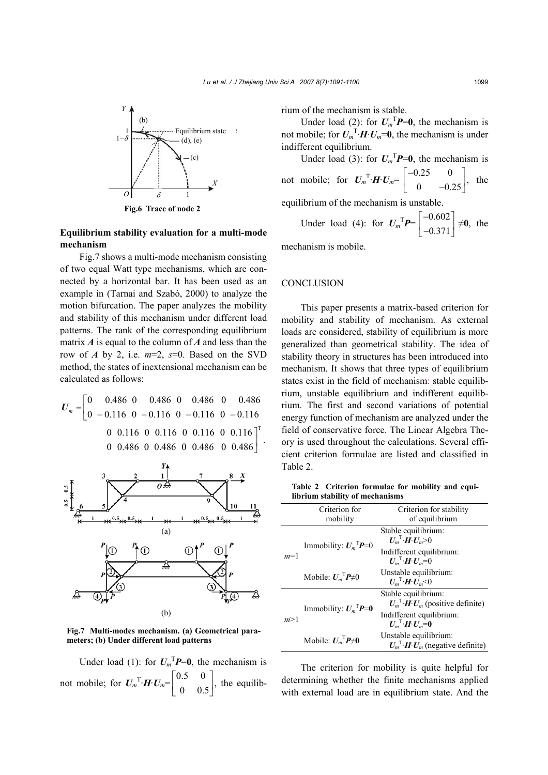

## **Equilibrium stability evaluation for a multi-mode mechanism**

Fig.7 shows a multi-mode mechanism consisting of two equal Watt type mechanisms, which are connected by a horizontal bar. It has been used as an example in (Tarnai and Szabó, 2000) to analyze the motion bifurcation. The paper analyzes the mobility and stability of this mechanism under different load patterns. The rank of the corresponding equilibrium matrix *A* is equal to the column of *A* and less than the row of *A* by 2, i.e.  $m=2$ ,  $s=0$ . Based on the SVD method, the states of inextensional mechanism can be calculated as follows:

$$
U_m = \begin{bmatrix} 0 & 0.486 & 0 & 0.486 & 0 & 0.486 & 0 & 0.486 \\ 0 & -0.116 & 0 & -0.116 & 0 & -0.116 & 0 & -0.116 \\ 0 & 0.116 & 0 & 0.116 & 0 & 0.116 & 0 & 0.116 \\ 0 & 0.486 & 0 & 0.486 & 0 & 0.486 & 0 & 0.486 \end{bmatrix}.
$$



**Fig.7 Multi-modes mechanism. (a) Geometrical parameters; (b) Under different load patterns**

Under load (1): for  $U_m^T P = 0$ , the mechanism is not mobile; for  $U_m^T \cdot H \cdot U_m = \begin{bmatrix} 0.5 & 0 \\ 0 & 0.5 \end{bmatrix}$ , the equilibrium of the mechanism is stable.

Under load (2): for  $U_m^T P = 0$ , the mechanism is not mobile; for  $U_m^T \cdot H \cdot U_m = 0$ , the mechanism is under indifferent equilibrium.

Under load (3): for  $U_m^T P = 0$ , the mechanism is not mobile; for  $U_m^T \cdot H \cdot U_m = \begin{bmatrix} -0.25 & 0 \\ 0 & -0.25 \end{bmatrix}$ , the equilibrium of the mechanism is unstable.

Under load (4): for  $U_m^T P = \begin{bmatrix} -0.602 \\ 0.371 \end{bmatrix}$ 0.371  $\begin{bmatrix} -0.602 \\ -0.371 \end{bmatrix} \neq 0$ , the

mechanism is mobile.

#### **CONCLUSION**

This paper presents a matrix-based criterion for mobility and stability of mechanism. As external loads are considered, stability of equilibrium is more generalized than geometrical stability. The idea of stability theory in structures has been introduced into mechanism. It shows that three types of equilibrium states exist in the field of mechanism: stable equilibrium, unstable equilibrium and indifferent equilibrium. The first and second variations of potential energy function of mechanism are analyzed under the field of conservative force. The Linear Algebra Theory is used throughout the calculations. Several efficient criterion formulae are listed and classified in Table 2.

**Table 2 Criterion formulae for mobility and equilibrium stability of mechanisms** 

|       | Criterion for<br>mobility            | Criterion for stability<br>of equilibrium                                                                                           |
|-------|--------------------------------------|-------------------------------------------------------------------------------------------------------------------------------------|
| $m=1$ | Immobility: $U_m^T P = 0$            | Stable equilibrium:<br>$U_m$ <sup>T</sup> · $\overline{H}$ · $U_m$ >0<br>Indifferent equilibrium:<br>$U_m$ <sup>T</sup> ·H· $U_m=0$ |
|       | Mobile: $U_m$ <sup>T</sup> $P\neq 0$ | Unstable equilibrium:<br>$U_m$ <sup>T</sup> ·H· $U_m$ <0                                                                            |
| m>1   | Immobility: $U_m^T P = 0$            | Stable equilibrium:<br>$U_m^T H U_m$ (positive definite)<br>Indifferent equilibrium:<br>$U_m$ <sup>T</sup> ·H· $U_m$ =0             |
|       | Mobile: $U_m$ <sup>T</sup> $P\neq 0$ | Unstable equilibrium:<br>$U_m^T \cdot H \cdot U_m$ (negative definite)                                                              |

The criterion for mobility is quite helpful for determining whether the finite mechanisms applied with external load are in equilibrium state. And the